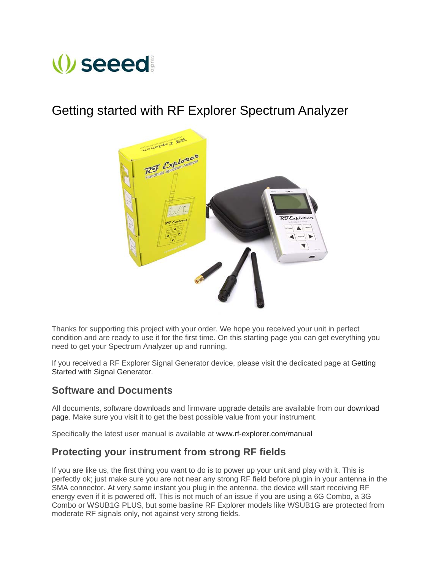# *seeed*

# Getting started with RF Explorer Spectrum Analyzer



Thanks for supporting this project with your order. We hope you received your unit in perfect condition and are ready to use it for the first time. On this starting page you can get everything you need to get your Spectrum Analyzer up and running.

If you received a RF Explorer Signal Generator device, please visit the dedicated page at Getting Started with Signal Generator.

## **Software and Documents**

All documents, software downloads and firmware upgrade details are available from our download page. Make sure you visit it to get the best possible value from your instrument.

Specifically the latest user manual is available at www.rf-explorer.com/manual

## **Protecting your instrument from strong RF fields**

If you are like us, the first thing you want to do is to power up your unit and play with it. This is perfectly ok; just make sure you are not near any strong RF field before plugin in your antenna in the SMA connector. At very same instant you plug in the antenna, the device will start receiving RF energy even if it is powered off. This is not much of an issue if you are using a 6G Combo, a 3G Combo or WSUB1G PLUS, but some basline RF Explorer models like WSUB1G are protected from moderate RF signals only, not against very strong fields.